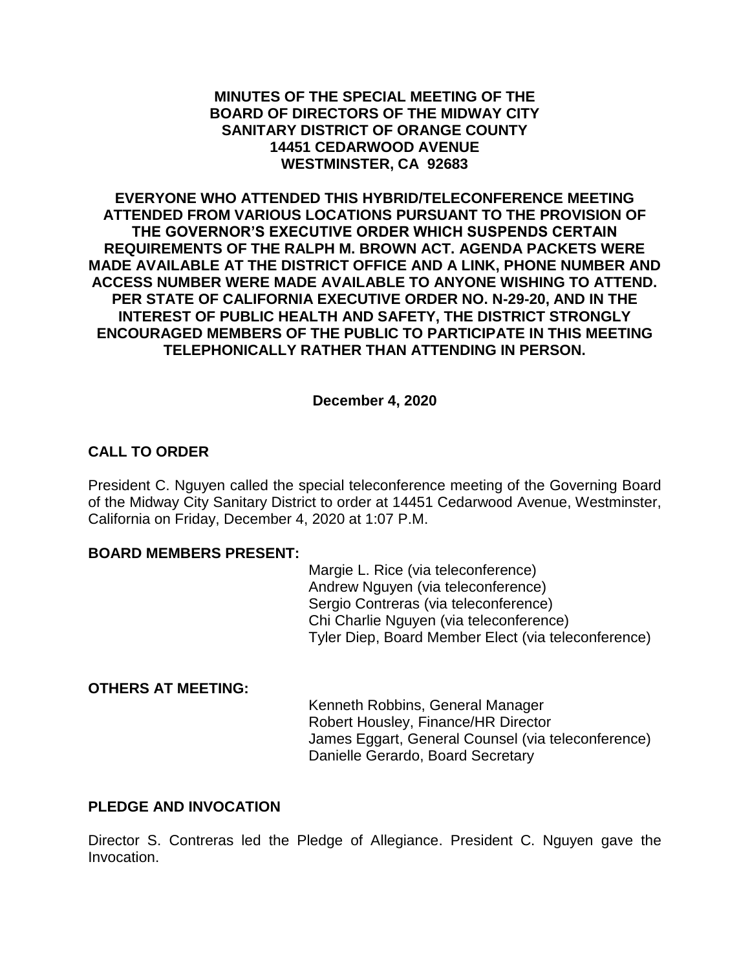### **MINUTES OF THE SPECIAL MEETING OF THE BOARD OF DIRECTORS OF THE MIDWAY CITY SANITARY DISTRICT OF ORANGE COUNTY 14451 CEDARWOOD AVENUE WESTMINSTER, CA 92683**

**EVERYONE WHO ATTENDED THIS HYBRID/TELECONFERENCE MEETING ATTENDED FROM VARIOUS LOCATIONS PURSUANT TO THE PROVISION OF THE GOVERNOR'S EXECUTIVE ORDER WHICH SUSPENDS CERTAIN REQUIREMENTS OF THE RALPH M. BROWN ACT. AGENDA PACKETS WERE MADE AVAILABLE AT THE DISTRICT OFFICE AND A LINK, PHONE NUMBER AND ACCESS NUMBER WERE MADE AVAILABLE TO ANYONE WISHING TO ATTEND. PER STATE OF CALIFORNIA EXECUTIVE ORDER NO. N-29-20, AND IN THE INTEREST OF PUBLIC HEALTH AND SAFETY, THE DISTRICT STRONGLY ENCOURAGED MEMBERS OF THE PUBLIC TO PARTICIPATE IN THIS MEETING TELEPHONICALLY RATHER THAN ATTENDING IN PERSON.**

### **December 4, 2020**

# **CALL TO ORDER**

President C. Nguyen called the special teleconference meeting of the Governing Board of the Midway City Sanitary District to order at 14451 Cedarwood Avenue, Westminster, California on Friday, December 4, 2020 at 1:07 P.M.

### **BOARD MEMBERS PRESENT:**

Margie L. Rice (via teleconference) Andrew Nguyen (via teleconference) Sergio Contreras (via teleconference) Chi Charlie Nguyen (via teleconference) Tyler Diep, Board Member Elect (via teleconference)

### **OTHERS AT MEETING:**

Kenneth Robbins, General Manager Robert Housley, Finance/HR Director James Eggart, General Counsel (via teleconference) Danielle Gerardo, Board Secretary

# **PLEDGE AND INVOCATION**

Director S. Contreras led the Pledge of Allegiance. President C. Nguyen gave the Invocation.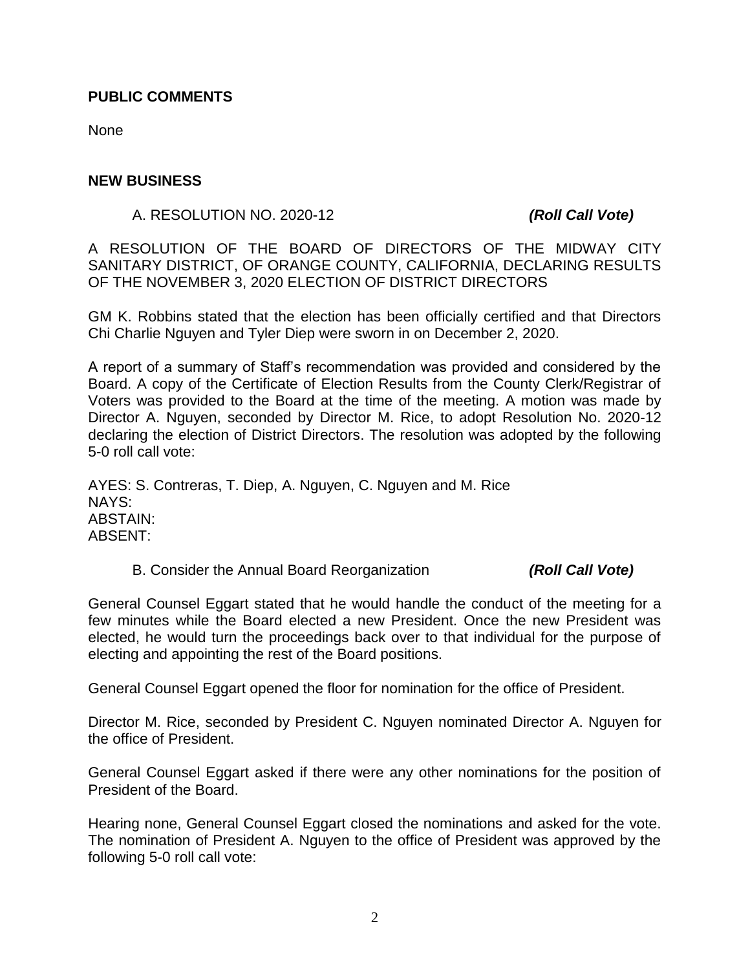### **PUBLIC COMMENTS**

None

### **NEW BUSINESS**

A. RESOLUTION NO. 2020-12 *(Roll Call Vote)*

A RESOLUTION OF THE BOARD OF DIRECTORS OF THE MIDWAY CITY SANITARY DISTRICT, OF ORANGE COUNTY, CALIFORNIA, DECLARING RESULTS OF THE NOVEMBER 3, 2020 ELECTION OF DISTRICT DIRECTORS

GM K. Robbins stated that the election has been officially certified and that Directors Chi Charlie Nguyen and Tyler Diep were sworn in on December 2, 2020.

A report of a summary of Staff's recommendation was provided and considered by the Board. A copy of the Certificate of Election Results from the County Clerk/Registrar of Voters was provided to the Board at the time of the meeting. A motion was made by Director A. Nguyen, seconded by Director M. Rice, to adopt Resolution No. 2020-12 declaring the election of District Directors. The resolution was adopted by the following 5-0 roll call vote:

AYES: S. Contreras, T. Diep, A. Nguyen, C. Nguyen and M. Rice NAYS: ABSTAIN: ABSENT:

B. Consider the Annual Board Reorganization *(Roll Call Vote)*

General Counsel Eggart stated that he would handle the conduct of the meeting for a few minutes while the Board elected a new President. Once the new President was elected, he would turn the proceedings back over to that individual for the purpose of electing and appointing the rest of the Board positions.

General Counsel Eggart opened the floor for nomination for the office of President.

Director M. Rice, seconded by President C. Nguyen nominated Director A. Nguyen for the office of President.

General Counsel Eggart asked if there were any other nominations for the position of President of the Board.

Hearing none, General Counsel Eggart closed the nominations and asked for the vote. The nomination of President A. Nguyen to the office of President was approved by the following 5-0 roll call vote: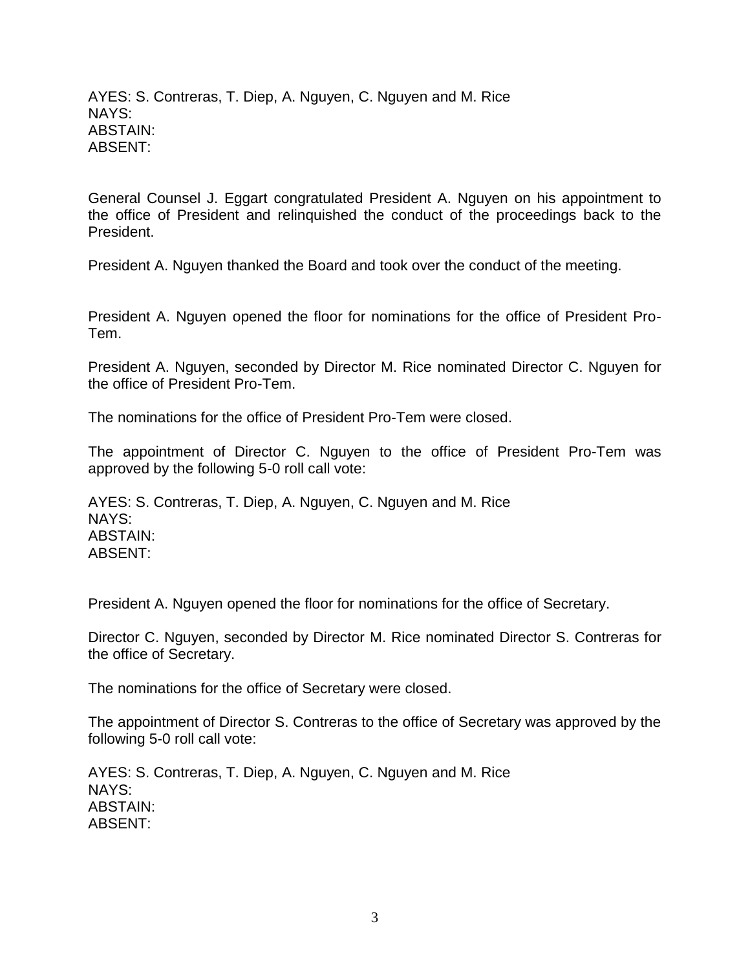AYES: S. Contreras, T. Diep, A. Nguyen, C. Nguyen and M. Rice NAYS: ABSTAIN: ABSENT:

General Counsel J. Eggart congratulated President A. Nguyen on his appointment to the office of President and relinquished the conduct of the proceedings back to the President.

President A. Nguyen thanked the Board and took over the conduct of the meeting.

President A. Nguyen opened the floor for nominations for the office of President Pro-Tem.

President A. Nguyen, seconded by Director M. Rice nominated Director C. Nguyen for the office of President Pro-Tem.

The nominations for the office of President Pro-Tem were closed.

The appointment of Director C. Nguyen to the office of President Pro-Tem was approved by the following 5-0 roll call vote:

AYES: S. Contreras, T. Diep, A. Nguyen, C. Nguyen and M. Rice NAYS: ABSTAIN: ABSENT:

President A. Nguyen opened the floor for nominations for the office of Secretary.

Director C. Nguyen, seconded by Director M. Rice nominated Director S. Contreras for the office of Secretary.

The nominations for the office of Secretary were closed.

The appointment of Director S. Contreras to the office of Secretary was approved by the following 5-0 roll call vote:

AYES: S. Contreras, T. Diep, A. Nguyen, C. Nguyen and M. Rice NAYS: ABSTAIN: ABSENT: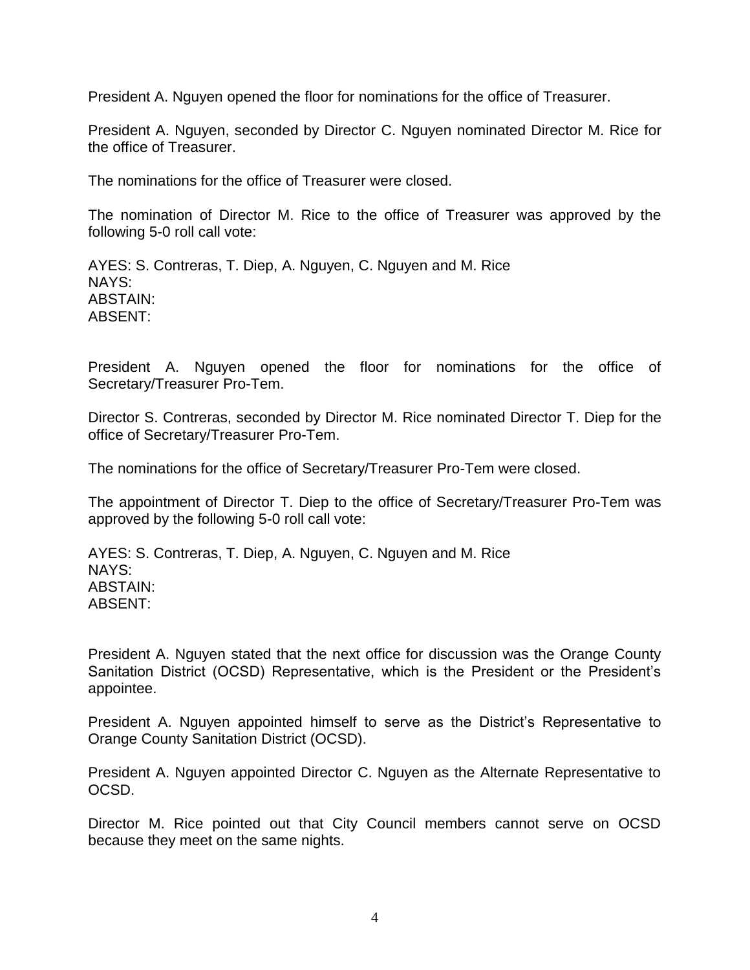President A. Nguyen opened the floor for nominations for the office of Treasurer.

President A. Nguyen, seconded by Director C. Nguyen nominated Director M. Rice for the office of Treasurer.

The nominations for the office of Treasurer were closed.

The nomination of Director M. Rice to the office of Treasurer was approved by the following 5-0 roll call vote:

AYES: S. Contreras, T. Diep, A. Nguyen, C. Nguyen and M. Rice NAYS: ABSTAIN: ABSENT:

President A. Nguyen opened the floor for nominations for the office of Secretary/Treasurer Pro-Tem.

Director S. Contreras, seconded by Director M. Rice nominated Director T. Diep for the office of Secretary/Treasurer Pro-Tem.

The nominations for the office of Secretary/Treasurer Pro-Tem were closed.

The appointment of Director T. Diep to the office of Secretary/Treasurer Pro-Tem was approved by the following 5-0 roll call vote:

AYES: S. Contreras, T. Diep, A. Nguyen, C. Nguyen and M. Rice NAYS: ABSTAIN: ABSENT:

President A. Nguyen stated that the next office for discussion was the Orange County Sanitation District (OCSD) Representative, which is the President or the President's appointee.

President A. Nguyen appointed himself to serve as the District's Representative to Orange County Sanitation District (OCSD).

President A. Nguyen appointed Director C. Nguyen as the Alternate Representative to OCSD.

Director M. Rice pointed out that City Council members cannot serve on OCSD because they meet on the same nights.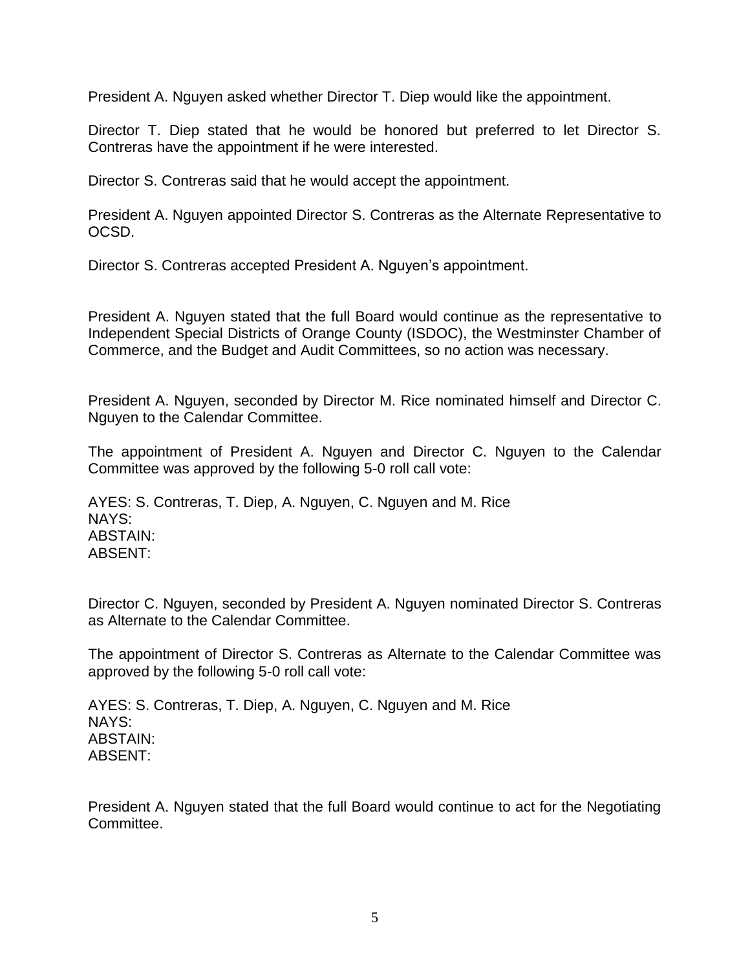President A. Nguyen asked whether Director T. Diep would like the appointment.

Director T. Diep stated that he would be honored but preferred to let Director S. Contreras have the appointment if he were interested.

Director S. Contreras said that he would accept the appointment.

President A. Nguyen appointed Director S. Contreras as the Alternate Representative to OCSD.

Director S. Contreras accepted President A. Nguyen's appointment.

President A. Nguyen stated that the full Board would continue as the representative to Independent Special Districts of Orange County (ISDOC), the Westminster Chamber of Commerce, and the Budget and Audit Committees, so no action was necessary.

President A. Nguyen, seconded by Director M. Rice nominated himself and Director C. Nguyen to the Calendar Committee.

The appointment of President A. Nguyen and Director C. Nguyen to the Calendar Committee was approved by the following 5-0 roll call vote:

AYES: S. Contreras, T. Diep, A. Nguyen, C. Nguyen and M. Rice NAYS: ABSTAIN: ABSENT:

Director C. Nguyen, seconded by President A. Nguyen nominated Director S. Contreras as Alternate to the Calendar Committee.

The appointment of Director S. Contreras as Alternate to the Calendar Committee was approved by the following 5-0 roll call vote:

AYES: S. Contreras, T. Diep, A. Nguyen, C. Nguyen and M. Rice NAYS: ABSTAIN: ABSENT:

President A. Nguyen stated that the full Board would continue to act for the Negotiating Committee.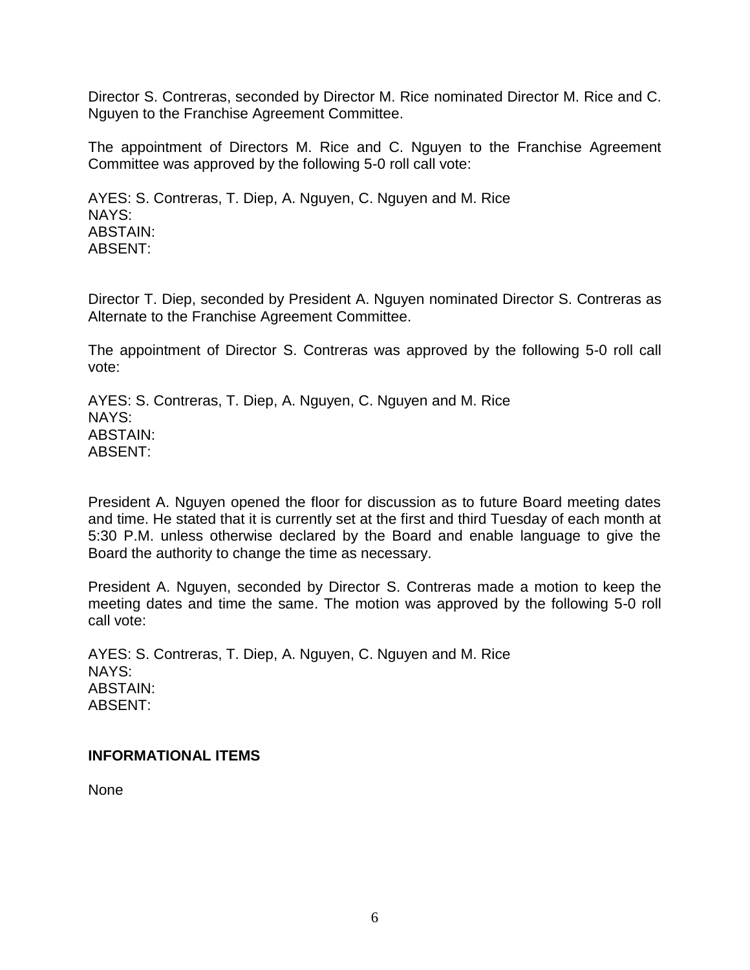Director S. Contreras, seconded by Director M. Rice nominated Director M. Rice and C. Nguyen to the Franchise Agreement Committee.

The appointment of Directors M. Rice and C. Nguyen to the Franchise Agreement Committee was approved by the following 5-0 roll call vote:

AYES: S. Contreras, T. Diep, A. Nguyen, C. Nguyen and M. Rice NAYS: ABSTAIN: ABSENT:

Director T. Diep, seconded by President A. Nguyen nominated Director S. Contreras as Alternate to the Franchise Agreement Committee.

The appointment of Director S. Contreras was approved by the following 5-0 roll call vote:

AYES: S. Contreras, T. Diep, A. Nguyen, C. Nguyen and M. Rice NAYS: ABSTAIN: ABSENT:

President A. Nguyen opened the floor for discussion as to future Board meeting dates and time. He stated that it is currently set at the first and third Tuesday of each month at 5:30 P.M. unless otherwise declared by the Board and enable language to give the Board the authority to change the time as necessary.

President A. Nguyen, seconded by Director S. Contreras made a motion to keep the meeting dates and time the same. The motion was approved by the following 5-0 roll call vote:

AYES: S. Contreras, T. Diep, A. Nguyen, C. Nguyen and M. Rice NAYS: ABSTAIN: ABSENT:

### **INFORMATIONAL ITEMS**

None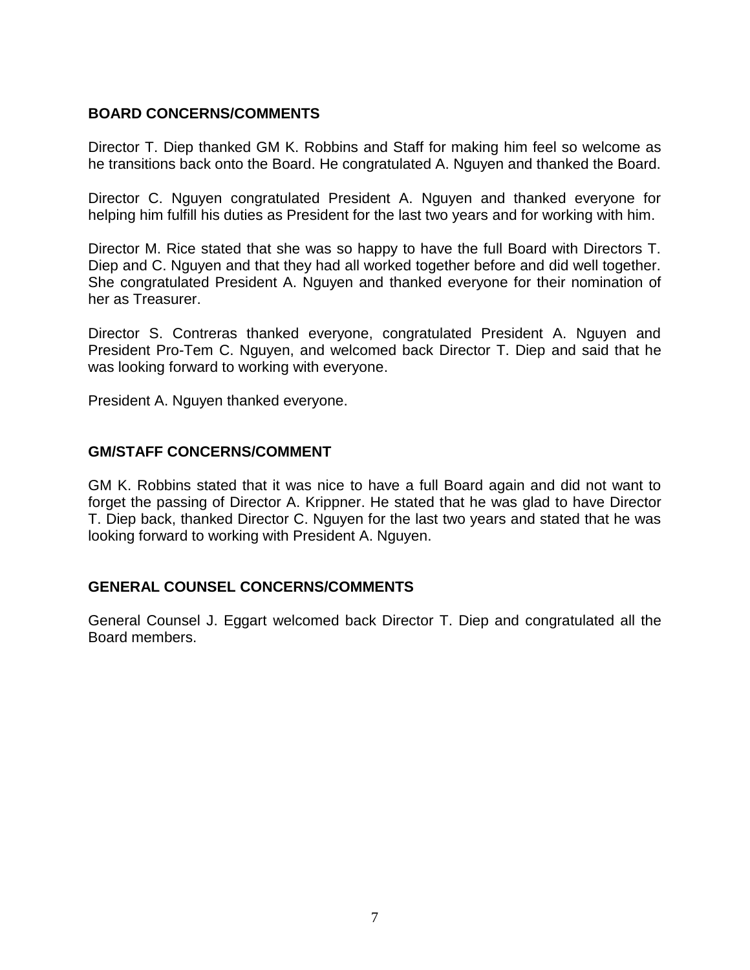# **BOARD CONCERNS/COMMENTS**

Director T. Diep thanked GM K. Robbins and Staff for making him feel so welcome as he transitions back onto the Board. He congratulated A. Nguyen and thanked the Board.

Director C. Nguyen congratulated President A. Nguyen and thanked everyone for helping him fulfill his duties as President for the last two years and for working with him.

Director M. Rice stated that she was so happy to have the full Board with Directors T. Diep and C. Nguyen and that they had all worked together before and did well together. She congratulated President A. Nguyen and thanked everyone for their nomination of her as Treasurer.

Director S. Contreras thanked everyone, congratulated President A. Nguyen and President Pro-Tem C. Nguyen, and welcomed back Director T. Diep and said that he was looking forward to working with everyone.

President A. Nguyen thanked everyone.

# **GM/STAFF CONCERNS/COMMENT**

GM K. Robbins stated that it was nice to have a full Board again and did not want to forget the passing of Director A. Krippner. He stated that he was glad to have Director T. Diep back, thanked Director C. Nguyen for the last two years and stated that he was looking forward to working with President A. Nguyen.

# **GENERAL COUNSEL CONCERNS/COMMENTS**

General Counsel J. Eggart welcomed back Director T. Diep and congratulated all the Board members.